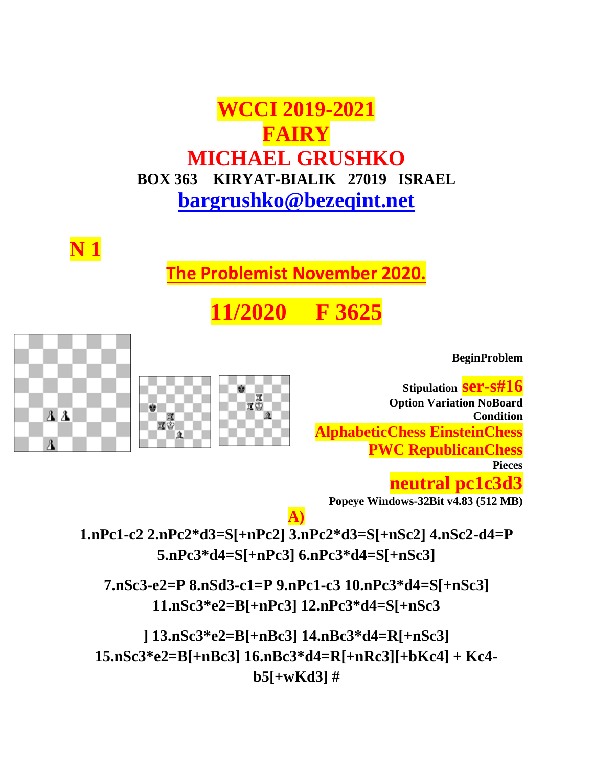# **WCCI 2019-2021 FAIRY MICHAEL GRUSHKO BOX 363 KIRYAT-BIALIK 27019 ISRAEL [bargrushko@bezeqint.net](mailto:bargrushko@bezeqint.net)**

**N 1**

 $23$ 

л

**The Problemist November 2020.**

**1/2020 F 36** 

**BeginProblem**

**Stipulation ser-s#16 Option Variation NoBoard Condition AlphabeticChess EinsteinChess PWC RepublicanChess Pieces neutral pc1c3d3**

**Popeye Windows-32Bit v4.83 (512 MB)**

**A) 1.nPc1-c2 2.nPc2\*d3=S[+nPc2] 3.nPc2\*d3=S[+nSc2] 4.nSc2-d4=P 5.nPc3\*d4=S[+nPc3] 6.nPc3\*d4=S[+nSc3]**

**7.nSc3-e2=P 8.nSd3-c1=P 9.nPc1-c3 10.nPc3\*d4=S[+nSc3] 11.nSc3\*e2=B[+nPc3] 12.nPc3\*d4=S[+nSc3**

**] 13.nSc3\*e2=B[+nBc3] 14.nBc3\*d4=R[+nSc3] 15.nSc3\*e2=B[+nBc3] 16.nBc3\*d4=R[+nRc3][+bKc4] + Kc4 b5[+wKd3] #**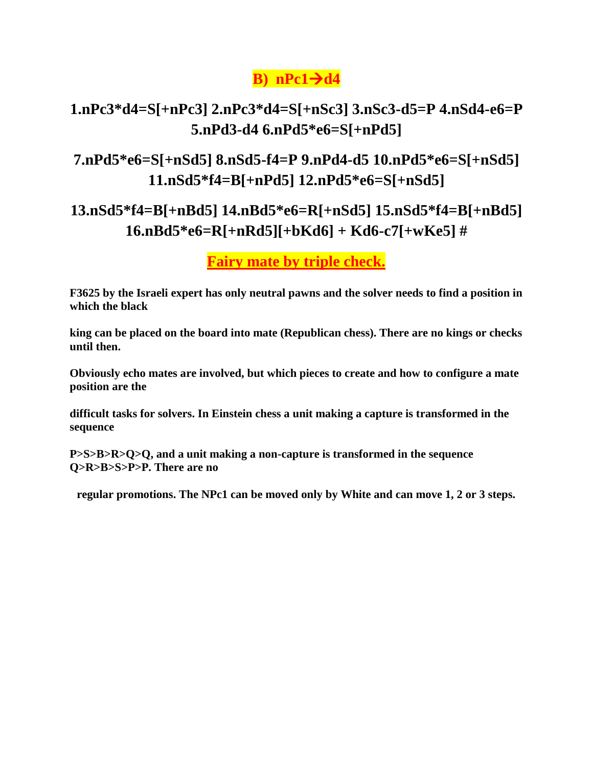### **B**)  $nPc1 \rightarrow d4$

### **1.nPc3\*d4=S[+nPc3] 2.nPc3\*d4=S[+nSc3] 3.nSc3-d5=P 4.nSd4-e6=P 5.nPd3-d4 6.nPd5\*e6=S[+nPd5]**

### **7.nPd5\*e6=S[+nSd5] 8.nSd5-f4=P 9.nPd4-d5 10.nPd5\*e6=S[+nSd5] 11.nSd5\*f4=B[+nPd5] 12.nPd5\*e6=S[+nSd5]**

### **13.nSd5\*f4=B[+nBd5] 14.nBd5\*e6=R[+nSd5] 15.nSd5\*f4=B[+nBd5] 16.nBd5\*e6=R[+nRd5][+bKd6] + Kd6-c7[+wKe5] #**

**Fairy mate by triple check.**

**F3625 by the Israeli expert has only neutral pawns and the solver needs to find a position in which the black**

**king can be placed on the board into mate (Republican chess). There are no kings or checks until then.**

**Obviously echo mates are involved, but which pieces to create and how to configure a mate position are the**

**difficult tasks for solvers. In Einstein chess a unit making a capture is transformed in the sequence**

**P>S>B>R>Q>Q, and a unit making a non-capture is transformed in the sequence Q>R>B>S>P>P. There are no**

**regular promotions. The NPc1 can be moved only by White and can move 1, 2 or 3 steps.**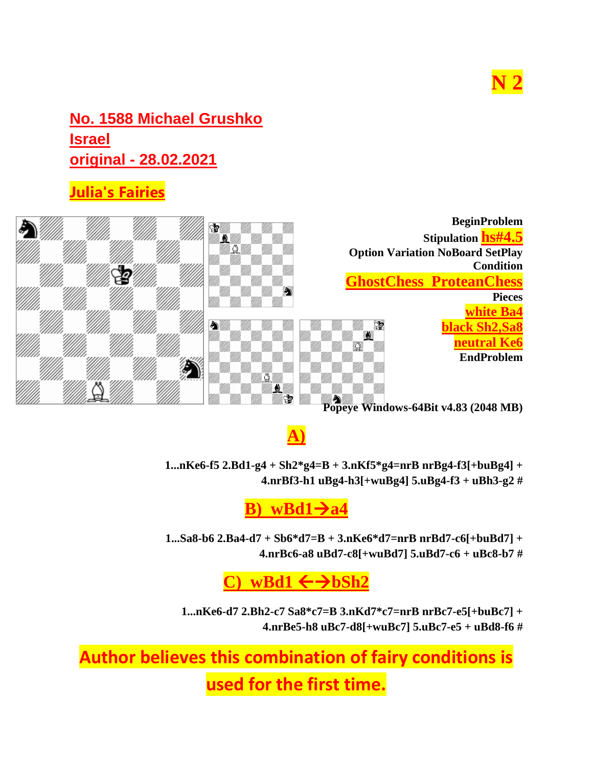# **N 2**

### **No. 1588 Michael Grushko Israel original - 28.02.2021**

### **[Julia's Fairies](http://juliasfairies.com/ru/category/julias-fairies-original-problems/)**



**A)**

**1...nKe6-f5 2.Bd1-g4 + Sh2\*g4=B + 3.nKf5\*g4=nrB nrBg4-f3[+buBg4] + 4.nrBf3-h1 uBg4-h3[+wuBg4] 5.uBg4-f3 + uBh3-g2 #**

**B**)  $wBd1 \rightarrow a4$ 

**1...Sa8-b6 2.Ba4-d7 + Sb6\*d7=B + 3.nKe6\*d7=nrB nrBd7-c6[+buBd7] + 4.nrBc6-a8 uBd7-c8[+wuBd7] 5.uBd7-c6 + uBc8-b7 #**

### $wBd1 \leftarrow \rightarrow bSh2$

**1...nKe6-d7 2.Bh2-c7 Sa8\*c7=B 3.nKd7\*c7=nrB nrBc7-e5[+buBc7] + 4.nrBe5-h8 uBc7-d8[+wuBc7] 5.uBc7-e5 + uBd8-f6 #**

**Author believes this combination of fairy conditions is** 

**used for the first time.**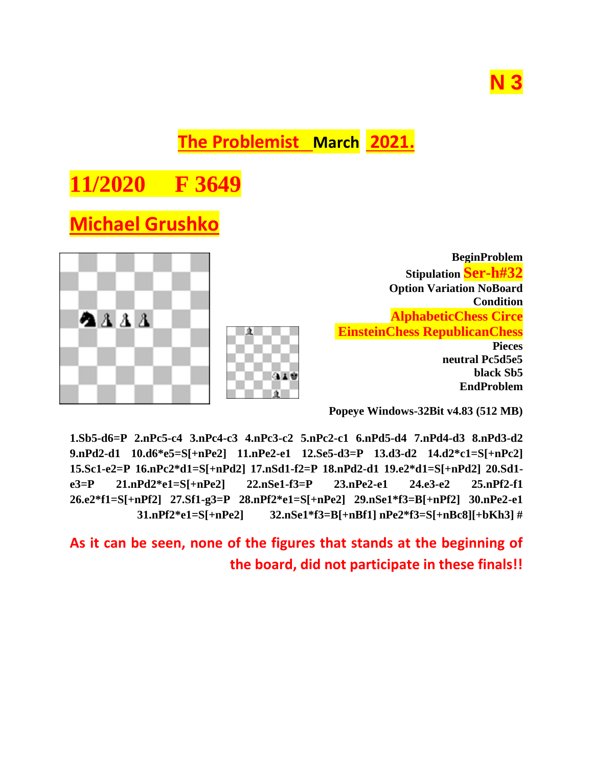# **N 3**

**The Problemist March 2021.**

# **11/2020 F 364**

# **Michael Grushko**



**Popeye Windows-32Bit v4.83 (512 MB)**

**1.Sb5-d6=P 2.nPc5-c4 3.nPc4-c3 4.nPc3-c2 5.nPc2-c1 6.nPd5-d4 7.nPd4-d3 8.nPd3-d2 9.nPd2-d1 10.d6\*e5=S[+nPe2] 11.nPe2-e1 12.Se5-d3=P 13.d3-d2 14.d2\*c1=S[+nPc2] 15.Sc1-e2=P 16.nPc2\*d1=S[+nPd2] 17.nSd1-f2=P 18.nPd2-d1 19.e2\*d1=S[+nPd2] 20.Sd1 e3=P 21.nPd2\*e1=S[+nPe2] 22.nSe1-f3=P 23.nPe2-e1 24.e3-e2 25.nPf2-f1 26.e2\*f1=S[+nPf2] 27.Sf1-g3=P 28.nPf2\*e1=S[+nPe2] 29.nSe1\*f3=B[+nPf2] 30.nPe2-e1 31.nPf2\*e1=S[+nPe2] 32.nSe1\*f3=B[+nBf1] nPe2\*f3=S[+nBc8][+bKh3] #**

**As it can be seen, none of the figures that stands at the beginning of the board, did not participate in these finals!!**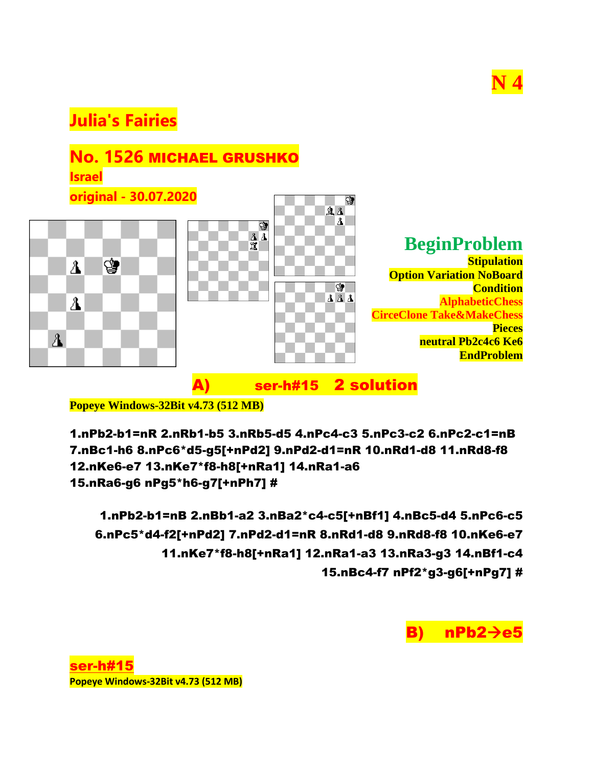

### **[Julia's Fairies](http://juliasfairies.com/ru/category/julias-fairies-original-problems/)**



A) ser-h#15 2 solution

**Popeye Windows-32Bit v4.73 (512 MB)**

1.nPb2-b1=nR 2.nRb1-b5 3.nRb5-d5 4.nPc4-c3 5.nPc3-c2 6.nPc2-c1=nB 7.nBc1-h6 8.nPc6\*d5-g5[+nPd2] 9.nPd2-d1=nR 10.nRd1-d8 11.nRd8-f8 12.nKe6-e7 13.nKe7\*f8-h8[+nRa1] 14.nRa1-a6 15.nRa6-g6 nPg5\*h6-g7[+nPh7] #

1.nPb2-b1=nB 2.nBb1-a2 3.nBa2\*c4-c5[+nBf1] 4.nBc5-d4 5.nPc6-c5 6.nPc5\*d4-f2[+nPd2] 7.nPd2-d1=nR 8.nRd1-d8 9.nRd8-f8 10.nKe6-e7 11.nKe7\*f8-h8[+nRa1] 12.nRa1-a3 13.nRa3-g3 14.nBf1-c4 15.nBc4-f7 nPf2\*g3-g6[+nPg7] #

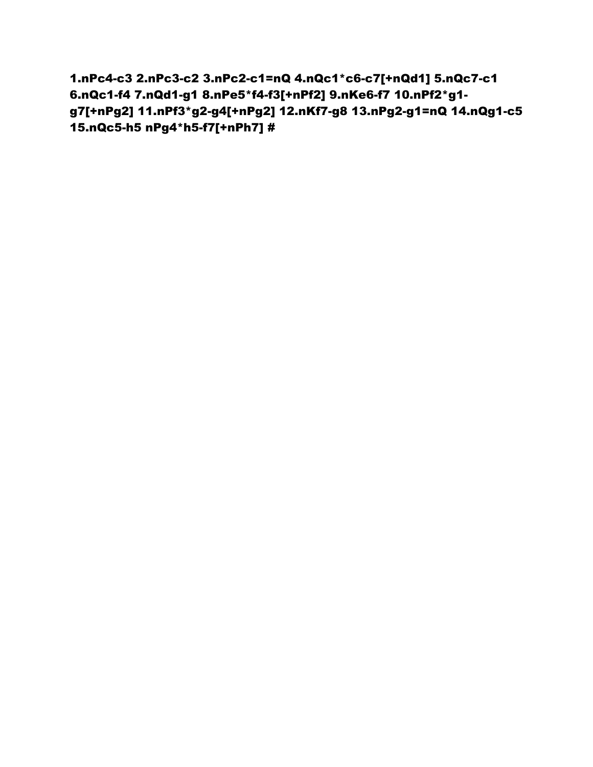1.nPc4-c3 2.nPc3-c2 3.nPc2-c1=nQ 4.nQc1\*c6-c7[+nQd1] 5.nQc7-c1 6.nQc1-f4 7.nQd1-g1 8.nPe5\*f4-f3[+nPf2] 9.nKe6-f7 10.nPf2\*g1 g7[+nPg2] 11.nPf3\*g2-g4[+nPg2] 12.nKf7-g8 13.nPg2-g1=nQ 14.nQg1-c5 15.nQc5-h5 nPg4\*h5-f7[+nPh7] #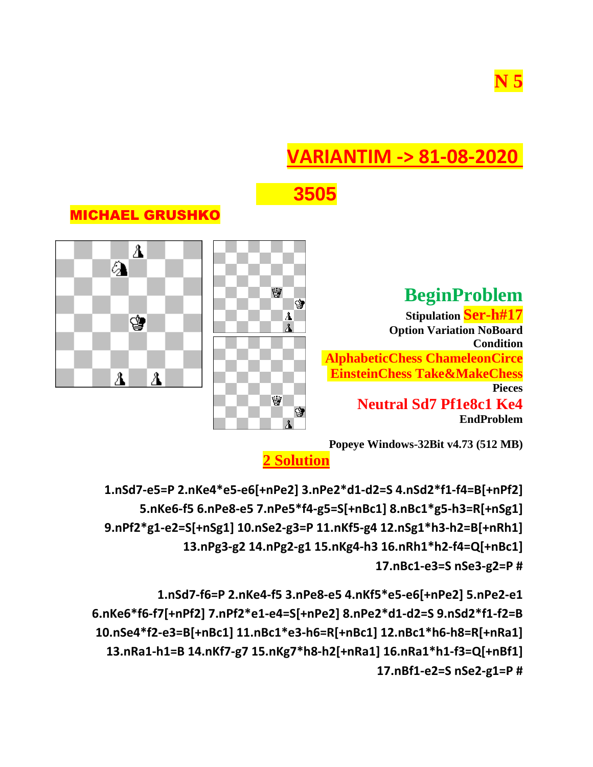# **VARIANTIM -> 81-08-2020**



### MICHAEL GRUSHKO

### **BeginProblem**

**Stipulation Ser-h#17 Option Variation NoBoard Condition AlphabeticChess ChameleonCirce EinsteinChess Take&MakeChess Pieces Neutral Sd7 Pf1e8c1 Ke4 EndProblem**







**2 Solution**

**1.nSd7-e5=P 2.nKe4\*e5-e6[+nPe2] 3.nPe2\*d1-d2=S 4.nSd2\*f1-f4=B[+nPf2] 5.nKe6-f5 6.nPe8-e5 7.nPe5\*f4-g5=S[+nBc1] 8.nBc1\*g5-h3=R[+nSg1] 9.nPf2\*g1-e2=S[+nSg1] 10.nSe2-g3=P 11.nKf5-g4 12.nSg1\*h3-h2=B[+nRh1] 13.nPg3-g2 14.nPg2-g1 15.nKg4-h3 16.nRh1\*h2-f4=Q[+nBc1] 17.nBc1-e3=S nSe3-g2=P #**

**1.nSd7-f6=P 2.nKe4-f5 3.nPe8-e5 4.nKf5\*e5-e6[+nPe2] 5.nPe2-e1 6.nKe6\*f6-f7[+nPf2] 7.nPf2\*e1-e4=S[+nPe2] 8.nPe2\*d1-d2=S 9.nSd2\*f1-f2=B 10.nSe4\*f2-e3=B[+nBc1] 11.nBc1\*e3-h6=R[+nBc1] 12.nBc1\*h6-h8=R[+nRa1] 13.nRa1-h1=B 14.nKf7-g7 15.nKg7\*h8-h2[+nRa1] 16.nRa1\*h1-f3=Q[+nBf1] 17.nBf1-e2=S nSe2-g1=P #**